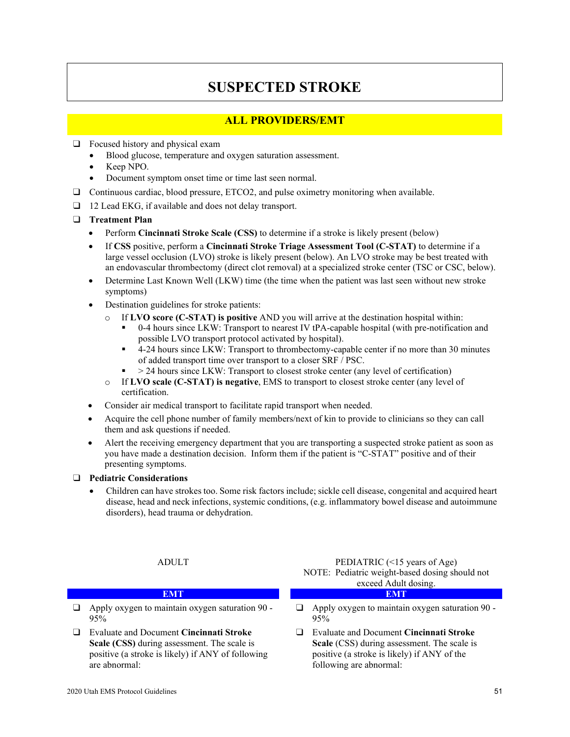# **SUSPECTED STROKE**

## **ALL PROVIDERS/EMT**

- $\Box$  Focused history and physical exam
	- Blood glucose, temperature and oxygen saturation assessment.
	- Keep NPO.
	- Document symptom onset time or time last seen normal.
- ❑ Continuous cardiac, blood pressure, ETCO2, and pulse oximetry monitoring when available.
- ❑ 12 Lead EKG, if available and does not delay transport.
- ❑ **Treatment Plan**
	- Perform **Cincinnati Stroke Scale (CSS)** to determine if a stroke is likely present (below)
	- If **CSS** positive, perform a **Cincinnati Stroke Triage Assessment Tool (C-STAT)** to determine if a large vessel occlusion (LVO) stroke is likely present (below). An LVO stroke may be best treated with an endovascular thrombectomy (direct clot removal) at a specialized stroke center (TSC or CSC, below).
	- Determine Last Known Well (LKW) time (the time when the patient was last seen without new stroke symptoms)
	- Destination guidelines for stroke patients:
		- o If **LVO score (C-STAT) is positive** AND you will arrive at the destination hospital within:
			- 0-4 hours since LKW: Transport to nearest IV tPA-capable hospital (with pre-notification and possible LVO transport protocol activated by hospital).
			- 4-24 hours since LKW: Transport to thrombectomy-capable center if no more than 30 minutes of added transport time over transport to a closer SRF / PSC.
			- > 24 hours since LKW: Transport to closest stroke center (any level of certification)
		- o If **LVO scale (C-STAT) is negative**, EMS to transport to closest stroke center (any level of certification.
	- Consider air medical transport to facilitate rapid transport when needed.
	- Acquire the cell phone number of family members/next of kin to provide to clinicians so they can call them and ask questions if needed.
	- Alert the receiving emergency department that you are transporting a suspected stroke patient as soon as you have made a destination decision. Inform them if the patient is "C-STAT" positive and of their presenting symptoms.

### ❑ **Pediatric Considerations**

• Children can have strokes too. Some risk factors include; sickle cell disease, congenital and acquired heart disease, head and neck infections, systemic conditions, (e.g. inflammatory bowel disease and autoimmune disorders), head trauma or dehydration.

- ❑ Apply oxygen to maintain oxygen saturation 90 95%
- ❑ Evaluate and Document **Cincinnati Stroke Scale (CSS)** during assessment. The scale is positive (a stroke is likely) if ANY of following are abnormal:

ADULT PEDIATRIC (<15 years of Age) NOTE: Pediatric weight-based dosing should not exceed Adult dosing. **EMT EMT**

- ❑ Apply oxygen to maintain oxygen saturation 90 95%
- ❑ Evaluate and Document **Cincinnati Stroke Scale** (CSS) during assessment. The scale is positive (a stroke is likely) if ANY of the following are abnormal: